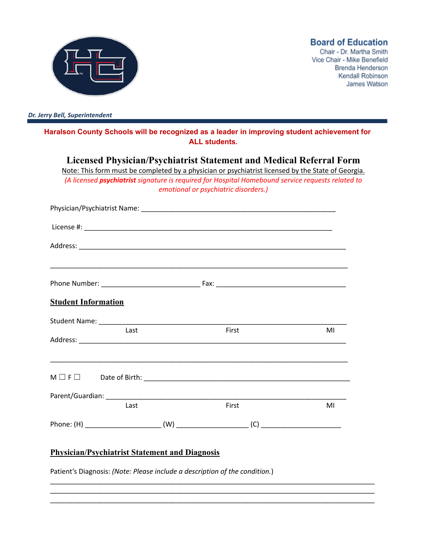

**Board of Education** 

Chair - Dr. Martha Smith Vice Chair - Mike Benefield Brenda Henderson Kendall Robinson James Watson

*Dr. Jerry Bell, Superintendent*

**Haralson County Schools will be recognized as a leader in improving student achievement for ALL students.**

**Licensed Physician/Psychiatrist Statement and Medical Referral Form** Note: This form must be completed by a physician or psychiatrist licensed by the State of Georgia. *(A licensed psychiatrist signature is required for Hospital Homebound service requests related to*

|  | emotional or psychiatric disorders.) |
|--|--------------------------------------|
|  |                                      |

|                            |      |       | <u> 1989 - John Harry Harry Harry Harry Harry Harry Harry Harry Harry Harry Harry Harry Harry Harry Harry Harry</u> |  |
|----------------------------|------|-------|---------------------------------------------------------------------------------------------------------------------|--|
|                            |      |       |                                                                                                                     |  |
| <b>Student Information</b> |      |       |                                                                                                                     |  |
|                            |      |       |                                                                                                                     |  |
|                            | Last | First | MI                                                                                                                  |  |
|                            |      |       |                                                                                                                     |  |
|                            |      |       |                                                                                                                     |  |
|                            |      |       |                                                                                                                     |  |
|                            | Last | First | MI                                                                                                                  |  |
|                            |      |       |                                                                                                                     |  |

\_\_\_\_\_\_\_\_\_\_\_\_\_\_\_\_\_\_\_\_\_\_\_\_\_\_\_\_\_\_\_\_\_\_\_\_\_\_\_\_\_\_\_\_\_\_\_\_\_\_\_\_\_\_\_\_\_\_\_\_\_\_\_\_\_\_\_\_\_\_\_\_\_\_\_\_\_\_\_\_\_\_\_\_\_ \_\_\_\_\_\_\_\_\_\_\_\_\_\_\_\_\_\_\_\_\_\_\_\_\_\_\_\_\_\_\_\_\_\_\_\_\_\_\_\_\_\_\_\_\_\_\_\_\_\_\_\_\_\_\_\_\_\_\_\_\_\_\_\_\_\_\_\_\_\_\_\_\_\_\_\_\_\_\_\_\_\_\_\_\_ \_\_\_\_\_\_\_\_\_\_\_\_\_\_\_\_\_\_\_\_\_\_\_\_\_\_\_\_\_\_\_\_\_\_\_\_\_\_\_\_\_\_\_\_\_\_\_\_\_\_\_\_\_\_\_\_\_\_\_\_\_\_\_\_\_\_\_\_\_\_\_\_\_\_\_\_\_\_\_\_\_\_\_\_\_

## **Physician/Psychiatrist Statement and Diagnosis**

Patient's Diagnosis: *(Note: Please include a description of the condition.*)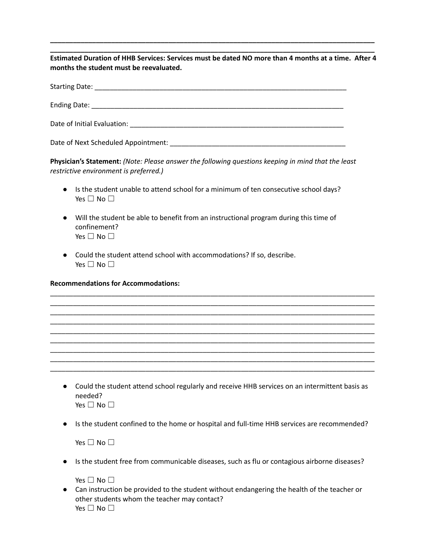**\_\_\_\_\_\_\_\_\_\_\_\_\_\_\_\_\_\_\_\_\_\_\_\_\_\_\_\_\_\_\_\_\_\_\_\_\_\_\_\_\_\_\_\_\_\_\_\_\_\_\_\_\_\_\_\_\_\_\_\_\_\_\_\_\_\_\_\_\_\_\_\_\_\_\_\_\_\_\_\_\_\_\_\_\_** Estimated Duration of HHB Services: Services must be dated NO more than 4 months at a time. After 4 **months the student must be reevaluated.**

**\_\_\_\_\_\_\_\_\_\_\_\_\_\_\_\_\_\_\_\_\_\_\_\_\_\_\_\_\_\_\_\_\_\_\_\_\_\_\_\_\_\_\_\_\_\_\_\_\_\_\_\_\_\_\_\_\_\_\_\_\_\_\_\_\_\_\_\_\_\_\_\_\_\_\_\_\_\_\_\_\_\_\_\_\_**

|                             | Ending Date: National Accounts and Accounts and Accounts and Accounts and Accounts and Accounts and Accounts and Accounts and Accounts and Accounts and Accounts and Accounts and Accounts and Accounts and Accounts and Accou |
|-----------------------------|--------------------------------------------------------------------------------------------------------------------------------------------------------------------------------------------------------------------------------|
| Date of Initial Evaluation: |                                                                                                                                                                                                                                |

Date of Next Scheduled Appointment: \_\_\_\_\_\_\_\_\_\_\_\_\_\_\_\_\_\_\_\_\_\_\_\_\_\_\_\_\_\_\_\_\_\_\_\_\_\_\_\_\_\_\_\_\_\_

**Physician's Statement:** *(Note: Please answer the following questions keeping in mind that the least restrictive environment is preferred.)*

- Is the student unable to attend school for a minimum of ten consecutive school days? Yes  $\Box$  No  $\Box$
- Will the student be able to benefit from an instructional program during this time of confinement? Yes  $\Box$  No  $\Box$
- Could the student attend school with accommodations? If so, describe. Yes □ No □

**Recommendations for Accommodations:**

| • Could the student attend school regularly and receive HHB services on an intermittent basis as |
|--------------------------------------------------------------------------------------------------|
| needed?                                                                                          |
| Yes $\Box$ No $\Box$                                                                             |

\_\_\_\_\_\_\_\_\_\_\_\_\_\_\_\_\_\_\_\_\_\_\_\_\_\_\_\_\_\_\_\_\_\_\_\_\_\_\_\_\_\_\_\_\_\_\_\_\_\_\_\_\_\_\_\_\_\_\_\_\_\_\_\_\_\_\_\_\_\_\_\_\_\_\_\_\_\_\_\_\_\_\_\_\_ \_\_\_\_\_\_\_\_\_\_\_\_\_\_\_\_\_\_\_\_\_\_\_\_\_\_\_\_\_\_\_\_\_\_\_\_\_\_\_\_\_\_\_\_\_\_\_\_\_\_\_\_\_\_\_\_\_\_\_\_\_\_\_\_\_\_\_\_\_\_\_\_\_\_\_\_\_\_\_\_\_\_\_\_\_ \_\_\_\_\_\_\_\_\_\_\_\_\_\_\_\_\_\_\_\_\_\_\_\_\_\_\_\_\_\_\_\_\_\_\_\_\_\_\_\_\_\_\_\_\_\_\_\_\_\_\_\_\_\_\_\_\_\_\_\_\_\_\_\_\_\_\_\_\_\_\_\_\_\_\_\_\_\_\_\_\_\_\_\_\_ \_\_\_\_\_\_\_\_\_\_\_\_\_\_\_\_\_\_\_\_\_\_\_\_\_\_\_\_\_\_\_\_\_\_\_\_\_\_\_\_\_\_\_\_\_\_\_\_\_\_\_\_\_\_\_\_\_\_\_\_\_\_\_\_\_\_\_\_\_\_\_\_\_\_\_\_\_\_\_\_\_\_\_\_\_ \_\_\_\_\_\_\_\_\_\_\_\_\_\_\_\_\_\_\_\_\_\_\_\_\_\_\_\_\_\_\_\_\_\_\_\_\_\_\_\_\_\_\_\_\_\_\_\_\_\_\_\_\_\_\_\_\_\_\_\_\_\_\_\_\_\_\_\_\_\_\_\_\_\_\_\_\_\_\_\_\_\_\_\_\_ \_\_\_\_\_\_\_\_\_\_\_\_\_\_\_\_\_\_\_\_\_\_\_\_\_\_\_\_\_\_\_\_\_\_\_\_\_\_\_\_\_\_\_\_\_\_\_\_\_\_\_\_\_\_\_\_\_\_\_\_\_\_\_\_\_\_\_\_\_\_\_\_\_\_\_\_\_\_\_\_\_\_\_\_\_ \_\_\_\_\_\_\_\_\_\_\_\_\_\_\_\_\_\_\_\_\_\_\_\_\_\_\_\_\_\_\_\_\_\_\_\_\_\_\_\_\_\_\_\_\_\_\_\_\_\_\_\_\_\_\_\_\_\_\_\_\_\_\_\_\_\_\_\_\_\_\_\_\_\_\_\_\_\_\_\_\_\_\_\_\_ \_\_\_\_\_\_\_\_\_\_\_\_\_\_\_\_\_\_\_\_\_\_\_\_\_\_\_\_\_\_\_\_\_\_\_\_\_\_\_\_\_\_\_\_\_\_\_\_\_\_\_\_\_\_\_\_\_\_\_\_\_\_\_\_\_\_\_\_\_\_\_\_\_\_\_\_\_\_\_\_\_\_\_\_\_ \_\_\_\_\_\_\_\_\_\_\_\_\_\_\_\_\_\_\_\_\_\_\_\_\_\_\_\_\_\_\_\_\_\_\_\_\_\_\_\_\_\_\_\_\_\_\_\_\_\_\_\_\_\_\_\_\_\_\_\_\_\_\_\_\_\_\_\_\_\_\_\_\_\_\_\_\_\_\_\_\_\_\_\_\_

● Is the student confined to the home or hospital and full-time HHB services are recommended?

Yes  $\square$  No  $\square$ 

● Is the student free from communicable diseases, such as flu or contagious airborne diseases?

Yes □ No □

● Can instruction be provided to the student without endangering the health of the teacher or other students whom the teacher may contact? Yes □ No □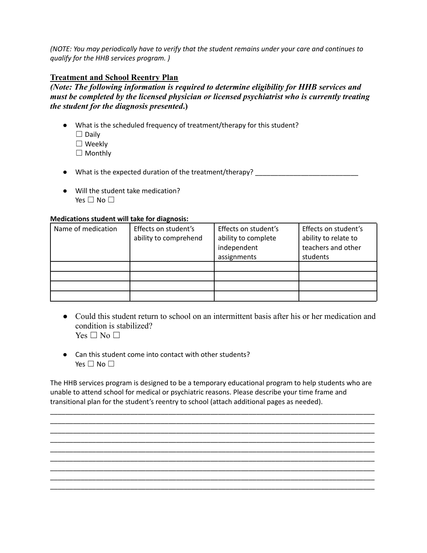*(NOTE: You may periodically have to verify that the student remains under your care and continues to qualify for the HHB services program. )*

## **Treatment and School Reentry Plan**

*(Note: The following information is required to determine eligibility for HHB services and must be completed by the licensed physician or licensed psychiatrist who is currently treating the student for the diagnosis presented***.)**

- What is the scheduled frequency of treatment/therapy for this student?  $\Box$  Daily ☐ Weekly □ Monthly
- What is the expected duration of the treatment/therapy? \_\_\_\_\_\_\_\_\_\_\_\_\_\_\_\_\_\_\_\_\_\_
- Will the student take medication? Yes □ No □

## **Medications student will take for diagnosis:**

| Name of medication | Effects on student's<br>ability to comprehend | Effects on student's<br>ability to complete<br>independent | Effects on student's<br>ability to relate to<br>teachers and other |
|--------------------|-----------------------------------------------|------------------------------------------------------------|--------------------------------------------------------------------|
|                    |                                               | assignments                                                | students                                                           |
|                    |                                               |                                                            |                                                                    |
|                    |                                               |                                                            |                                                                    |
|                    |                                               |                                                            |                                                                    |
|                    |                                               |                                                            |                                                                    |

- Could this student return to school on an intermittent basis after his or her medication and condition is stabilized?  $Yes \Box No \Box$
- Can this student come into contact with other students? Yes  $\square$  No  $\square$

The HHB services program is designed to be a temporary educational program to help students who are unable to attend school for medical or psychiatric reasons. Please describe your time frame and transitional plan for the student's reentry to school (attach additional pages as needed).

\_\_\_\_\_\_\_\_\_\_\_\_\_\_\_\_\_\_\_\_\_\_\_\_\_\_\_\_\_\_\_\_\_\_\_\_\_\_\_\_\_\_\_\_\_\_\_\_\_\_\_\_\_\_\_\_\_\_\_\_\_\_\_\_\_\_\_\_\_\_\_\_\_\_\_\_\_\_\_\_\_\_\_\_\_ \_\_\_\_\_\_\_\_\_\_\_\_\_\_\_\_\_\_\_\_\_\_\_\_\_\_\_\_\_\_\_\_\_\_\_\_\_\_\_\_\_\_\_\_\_\_\_\_\_\_\_\_\_\_\_\_\_\_\_\_\_\_\_\_\_\_\_\_\_\_\_\_\_\_\_\_\_\_\_\_\_\_\_\_\_

\_\_\_\_\_\_\_\_\_\_\_\_\_\_\_\_\_\_\_\_\_\_\_\_\_\_\_\_\_\_\_\_\_\_\_\_\_\_\_\_\_\_\_\_\_\_\_\_\_\_\_\_\_\_\_\_\_\_\_\_\_\_\_\_\_\_\_\_\_\_\_\_\_\_\_\_\_\_\_\_\_\_\_\_\_

\_\_\_\_\_\_\_\_\_\_\_\_\_\_\_\_\_\_\_\_\_\_\_\_\_\_\_\_\_\_\_\_\_\_\_\_\_\_\_\_\_\_\_\_\_\_\_\_\_\_\_\_\_\_\_\_\_\_\_\_\_\_\_\_\_\_\_\_\_\_\_\_\_\_\_\_\_\_\_\_\_\_\_\_\_

\_\_\_\_\_\_\_\_\_\_\_\_\_\_\_\_\_\_\_\_\_\_\_\_\_\_\_\_\_\_\_\_\_\_\_\_\_\_\_\_\_\_\_\_\_\_\_\_\_\_\_\_\_\_\_\_\_\_\_\_\_\_\_\_\_\_\_\_\_\_\_\_\_\_\_\_\_\_\_\_\_\_\_\_\_ \_\_\_\_\_\_\_\_\_\_\_\_\_\_\_\_\_\_\_\_\_\_\_\_\_\_\_\_\_\_\_\_\_\_\_\_\_\_\_\_\_\_\_\_\_\_\_\_\_\_\_\_\_\_\_\_\_\_\_\_\_\_\_\_\_\_\_\_\_\_\_\_\_\_\_\_\_\_\_\_\_\_\_\_\_

\_\_\_\_\_\_\_\_\_\_\_\_\_\_\_\_\_\_\_\_\_\_\_\_\_\_\_\_\_\_\_\_\_\_\_\_\_\_\_\_\_\_\_\_\_\_\_\_\_\_\_\_\_\_\_\_\_\_\_\_\_\_\_\_\_\_\_\_\_\_\_\_\_\_\_\_\_\_\_\_\_\_\_\_\_